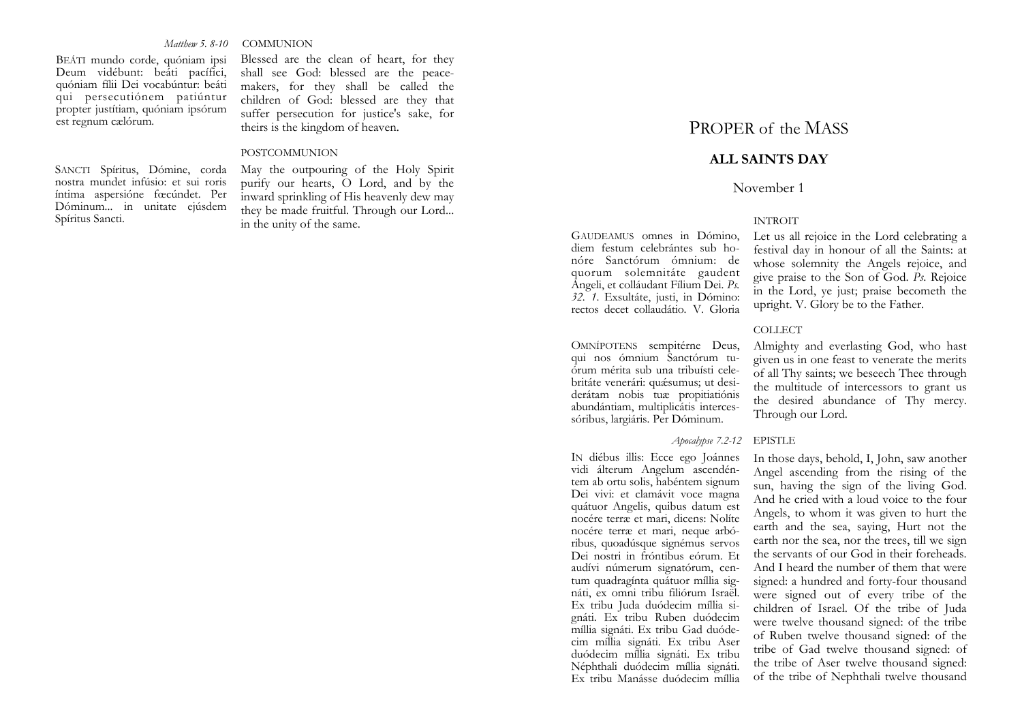*Matthew 5. 8-10* COMMUNION

BEÁTI mundo corde, quóniam ipsi Deum vidébunt: beáti pacífici, quóniam fílii Dei vocabúntur: beáti qui persecutiónem patiúntur propter justítiam, quóniam ipsórum est regnum cælórum.

SANCTI Spíritus, Dómine, corda nostra mundet infúsio: et sui roris íntima aspersióne fœcúndet. Per Dóminum... in unitate ejúsdem Spíritus Sancti.

Blessed are the clean of heart, for they shall see God: blessed are the peacemakers, for they shall be called the children of God: blessed are they that suffer persecution for justice's sake, for theirs is the kingdom of heaven.

### POSTCOMMUNION

May the outpouring of the Holy Spirit purify our hearts, O Lord, and by the inward sprinkling of His heavenly dew may they be made fruitful. Through our Lord... in the unity of the same. INTROIT

# PROPER of the MASS

# **ALL SAINTS DAY**

# November 1

GAUDEAMUS omnes in Dómino, diem festum celebrántes sub honóre Sanctórum ómnium: de quorum solemnitáte gaudent Angeli, et colláudant Fílium Dei. *Ps. 32. 1*. Exsultáte, justi, in Dómino: rectos decet collaudátio. V. Gloria

OMNÍPOTENS sempitérne Deus, qui nos ómnium Sanctórum tuórum mérita sub una tribuísti celebritáte venerári: quǽsumus; ut desiderátam nobis tuæ propitiatiónis abundántiam, multiplicátis intercessóribus, largiáris. Per Dóminum.

## *Apocalypse <sup>7</sup>.2-12* EPISTLE

IN diébus illis: Ecce ego Joánnes vidi álterum Angelum ascendéntem ab ortu solis, habéntem signum Dei vivi: et clamávit voce magna quátuor Angelis, quibus datum est nocére terræ et mari, dicens: Nolíte nocére terræ et mari, neque arbóribus, quoadúsque signémus servos Dei nostri in fróntibus eórum. Et audívi númerum signatórum, centum quadragínta quátuor míllia signáti, ex omni tribu filiórum Israël. Ex tribu Juda duódecim míllia signáti. Ex tribu Ruben duódecim míllia signáti. Ex tribu Gad duódecim míllia signáti. Ex tribu Aser duódecim míllia signáti. Ex tribu Néphthali duódecim míllia signáti. Ex tribu Manásse duódecim míllia

Let us all rejoice in the Lord celebrating a festival day in honour of all the Saints: at whose solemnity the Angels rejoice, and give praise to the Son of God. *Ps*. Rejoice in the Lord, ye just; praise becometh the upright. V. Glory be to the Father.

### COLLECT

Almighty and everlasting God, who hast given us in one feast to venerate the merits of all Thy saints; we beseech Thee through the multitude of intercessors to grant us the desired abundance of Thy mercy. Through our Lord.

In those days, behold, I, John, saw another Angel ascending from the rising of the sun, having the sign of the living God. And he cried with a loud voice to the four Angels, to whom it was given to hurt the earth and the sea, saying, Hurt not the earth nor the sea, nor the trees, till we sign the servants of our God in their foreheads. And I heard the number of them that were signed: a hundred and forty-four thousand were signed out of every tribe of the children of Israel. Of the tribe of Juda were twelve thousand signed: of the tribe of Ruben twelve thousand signed: of the tribe of Gad twelve thousand signed: of the tribe of Aser twelve thousand signed: of the tribe of Nephthali twelve thousand